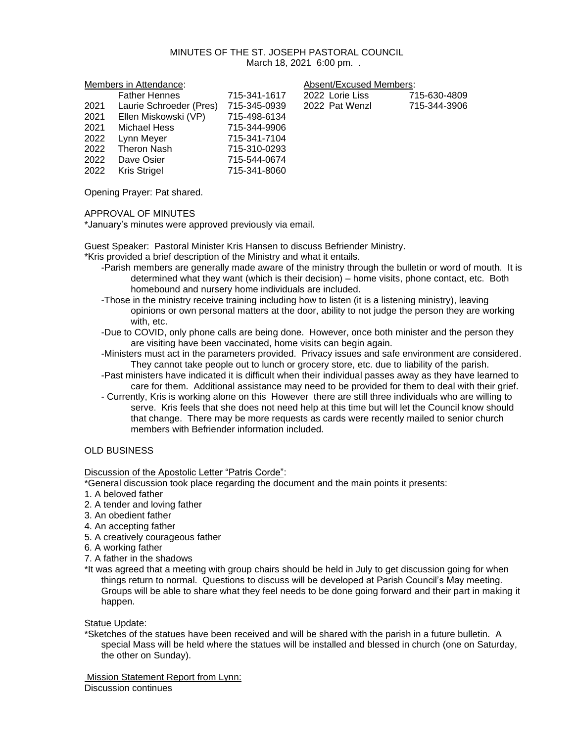### MINUTES OF THE ST. JOSEPH PASTORAL COUNCIL March 18, 2021 6:00 pm. .

| Members in Attendance: |                         | Absent/Excused Members: |                 |              |
|------------------------|-------------------------|-------------------------|-----------------|--------------|
|                        | <b>Father Hennes</b>    | 715-341-1617            | 2022 Lorie Liss | 715-630-4809 |
| 2021                   | Laurie Schroeder (Pres) | 715-345-0939            | 2022 Pat Wenzl  | 715-344-3906 |
| 2021                   | Ellen Miskowski (VP)    | 715-498-6134            |                 |              |
| 2021                   | Michael Hess            | 715-344-9906            |                 |              |
| 2022                   | Lynn Meyer              | 715-341-7104            |                 |              |
| 2022                   | Theron Nash             | 715-310-0293            |                 |              |
| 2022                   | Dave Osier              | 715-544-0674            |                 |              |
| 2022                   | Kris Strigel            | 715-341-8060            |                 |              |

Opening Prayer: Pat shared.

## APPROVAL OF MINUTES

\*January's minutes were approved previously via email.

Guest Speaker: Pastoral Minister Kris Hansen to discuss Befriender Ministry.

\*Kris provided a brief description of the Ministry and what it entails.

- -Parish members are generally made aware of the ministry through the bulletin or word of mouth. It is determined what they want (which is their decision) – home visits, phone contact, etc. Both homebound and nursery home individuals are included.
- -Those in the ministry receive training including how to listen (it is a listening ministry), leaving opinions or own personal matters at the door, ability to not judge the person they are working with, etc.
- -Due to COVID, only phone calls are being done. However, once both minister and the person they are visiting have been vaccinated, home visits can begin again.
- -Ministers must act in the parameters provided. Privacy issues and safe environment are considered. They cannot take people out to lunch or grocery store, etc. due to liability of the parish.
- -Past ministers have indicated it is difficult when their individual passes away as they have learned to care for them. Additional assistance may need to be provided for them to deal with their grief.
- Currently, Kris is working alone on this However there are still three individuals who are willing to serve. Kris feels that she does not need help at this time but will let the Council know should that change. There may be more requests as cards were recently mailed to senior church members with Befriender information included.

# OLD BUSINESS

Discussion of the Apostolic Letter "Patris Corde":

\*General discussion took place regarding the document and the main points it presents:

- 1. A beloved father
- 2. A tender and loving father
- 3. An obedient father
- 4. An accepting father
- 5. A creatively courageous father
- 6. A working father
- 7. A father in the shadows
- \*It was agreed that a meeting with group chairs should be held in July to get discussion going for when things return to normal. Questions to discuss will be developed at Parish Council's May meeting. Groups will be able to share what they feel needs to be done going forward and their part in making it happen.

## Statue Update:

\*Sketches of the statues have been received and will be shared with the parish in a future bulletin. A special Mass will be held where the statues will be installed and blessed in church (one on Saturday, the other on Sunday).

Mission Statement Report from Lynn: Discussion continues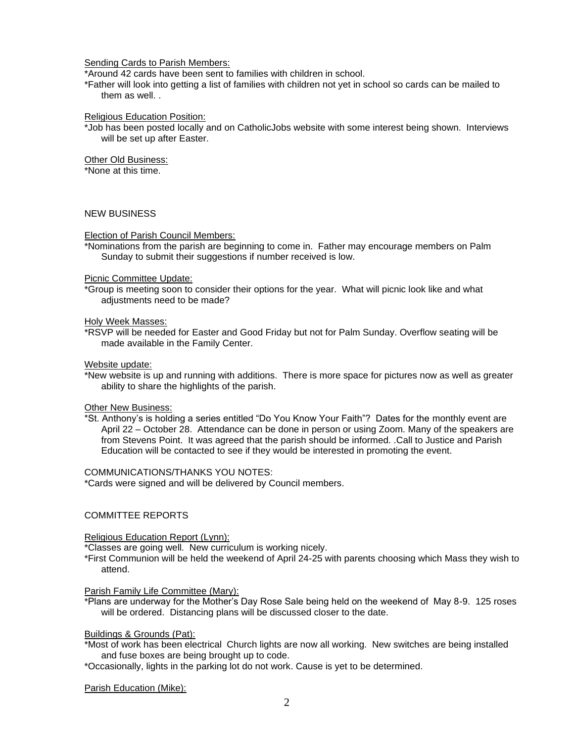### Sending Cards to Parish Members:

\*Around 42 cards have been sent to families with children in school.

\*Father will look into getting a list of families with children not yet in school so cards can be mailed to them as well. .

#### Religious Education Position:

\*Job has been posted locally and on CatholicJobs website with some interest being shown. Interviews will be set up after Easter.

### Other Old Business:

\*None at this time.

## NEW BUSINESS

### Election of Parish Council Members:

\*Nominations from the parish are beginning to come in. Father may encourage members on Palm Sunday to submit their suggestions if number received is low.

#### Picnic Committee Update:

\*Group is meeting soon to consider their options for the year. What will picnic look like and what adjustments need to be made?

#### Holy Week Masses:

\*RSVP will be needed for Easter and Good Friday but not for Palm Sunday. Overflow seating will be made available in the Family Center.

Website update:

\*New website is up and running with additions. There is more space for pictures now as well as greater ability to share the highlights of the parish.

#### Other New Business:

\*St. Anthony's is holding a series entitled "Do You Know Your Faith"? Dates for the monthly event are April 22 – October 28. Attendance can be done in person or using Zoom. Many of the speakers are from Stevens Point. It was agreed that the parish should be informed. .Call to Justice and Parish Education will be contacted to see if they would be interested in promoting the event.

#### COMMUNICATIONS/THANKS YOU NOTES:

\*Cards were signed and will be delivered by Council members.

## COMMITTEE REPORTS

#### Religious Education Report (Lynn):

\*Classes are going well. New curriculum is working nicely.

\*First Communion will be held the weekend of April 24-25 with parents choosing which Mass they wish to attend.

#### Parish Family Life Committee (Mary):

\*Plans are underway for the Mother's Day Rose Sale being held on the weekend of May 8-9. 125 roses will be ordered. Distancing plans will be discussed closer to the date.

### Buildings & Grounds (Pat):

- \*Most of work has been electrical Church lights are now all working. New switches are being installed and fuse boxes are being brought up to code.
- \*Occasionally, lights in the parking lot do not work. Cause is yet to be determined.

Parish Education (Mike):